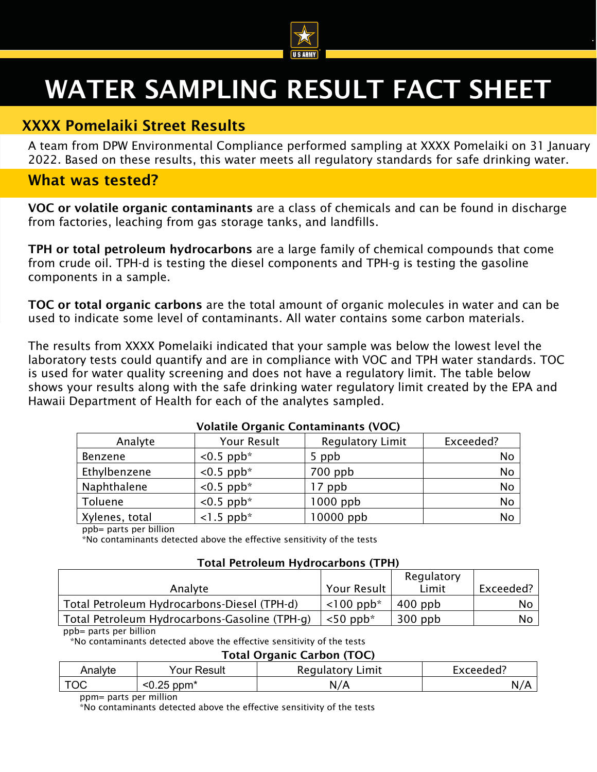

# XXXX Pomelaiki Street Results

A team from DPW Environmental Compliance performed sampling at XXXX Pomelaiki on 31 January 2022. Based on these results, this water meets all regulatory standards for safe drinking water.

### What was tested?

VOC or volatile organic contaminants are a class of chemicals and can be found in discharge from factories, leaching from gas storage tanks, and landfills.

TPH or total petroleum hydrocarbons are a large family of chemical compounds that come from crude oil. TPH-d is testing the diesel components and TPH-g is testing the gasoline components in a sample.

TOC or total organic carbons are the total amount of organic molecules in water and can be used to indicate some level of contaminants. All water contains some carbon materials.

The results from XXXX Pomelaiki indicated that your sample was below the lowest level the laboratory tests could quantify and are in compliance with VOC and TPH water standards. TOC is used for water quality screening and does not have a regulatory limit. The table below shows your results along with the safe drinking water regulatory limit created by the EPA and Hawaii Department of Health for each of the analytes sampled.

| Analyte        | Your Result              | <b>Regulatory Limit</b> | Exceeded? |  |  |
|----------------|--------------------------|-------------------------|-----------|--|--|
| Benzene        | $< 0.5$ ppb <sup>*</sup> | 5 ppb                   | No        |  |  |
| Ethylbenzene   | $< 0.5$ ppb <sup>*</sup> | $700$ ppb               | No        |  |  |
| Naphthalene    | $< 0.5$ ppb <sup>*</sup> | 17 ppb                  | No        |  |  |
| Toluene        | $< 0.5$ ppb*             | $1000$ ppb              | No        |  |  |
| Xylenes, total | $<$ 1.5 ppb $*$          | 10000 ppb               | No        |  |  |
|                |                          |                         |           |  |  |

#### Volatile Organic Contaminants (VOC)

ppb= parts per billion

\*No contaminants detected above the effective sensitivity of the tests

#### Total Petroleum Hydrocarbons (TPH)

|                    | Regulatory                                    |           |
|--------------------|-----------------------------------------------|-----------|
| Your Result        | Limit                                         | Exceeded? |
| $\sim$ 100 ppb $*$ | $400$ ppb                                     | No l      |
| $\sim$ 50 ppb*     | $300$ ppb                                     | No l      |
|                    | Total Petroleum Hydrocarbons-Gasoline (TPH-q) |           |

ppb= parts per billion

\*No contaminants detected above the effective sensitivity of the tests

Total Organic Carbon (TOC)

| Anal∨te    | Your Result                     | Limit<br>Regulatory | Exceeded? |
|------------|---------------------------------|---------------------|-----------|
| <b>TOC</b> | つに<br>ppm <sup>*</sup><br>SU.Z∪ | N/A                 | NZ.       |

ppm= parts per million

\*No contaminants detected above the effective sensitivity of the tests